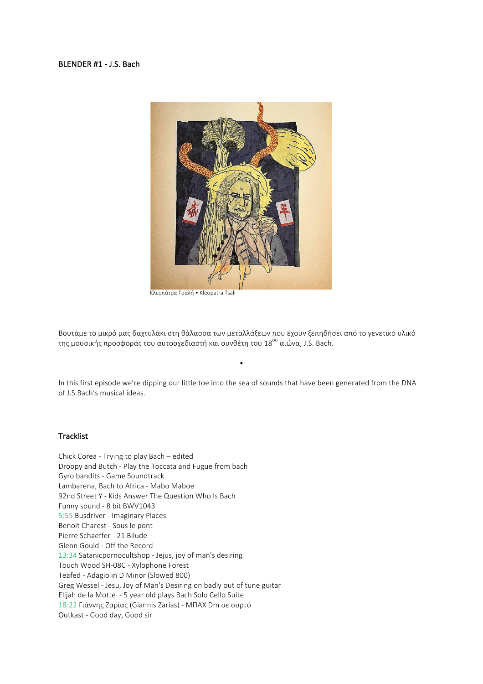## BLENDER #1 - J.S. Bach



 Κλεοπάτρα Τσαλή • Kleopatra Tsali

Βουτάμε το μικρό μας δαχτυλάκι στη θάλασσα των μεταλλάξεων που έχουν ξεπηδήσει από το γενετικό υλικό της μουσικής προσφοράς του αυτοσχεδιαστή και συνθέτη του 18<sup>ου</sup> αιώνα, J.S. Bach.

In this first episode we're dipping our little toe into the sea of sounds that have been generated from the DNA of J.S.Bach's musical ideas.

•

## **Tracklist**

Chick Corea - Trying to play Bach – edited Droopy and Butch - Play the Toccata and Fugue from bach Gyro bandits - Game Soundtrack Lambarena, Bach to Africa - Mabo Maboe 92nd Street Y - Kids Answer The Question Who Is Bach Funny sound - 8 bit BWV1043 5:55 Busdriver - Imaginary Places Benoit Charest - Sous le pont Pierre Schaeffer - 21 Bilude Glenn Gould - Off the Record 13:34 Satanicpornocultshop - Jejus, joy of man's desiring Touch Wood SH-08C - Xylophone Forest Teafed - Adagio in D Minor (Slowed 800) Greg Wessel - Jesu, Joy of Man's Desiring on badly out of tune guitar Elijah de la Motte - 5 year old plays Bach Solo Cello Suite 18:22 Γιάννης Ζαρίας (Giannis Zarias) - ΜΠΑΧ Dm σε συρτό Outkast - Good day, Good sir